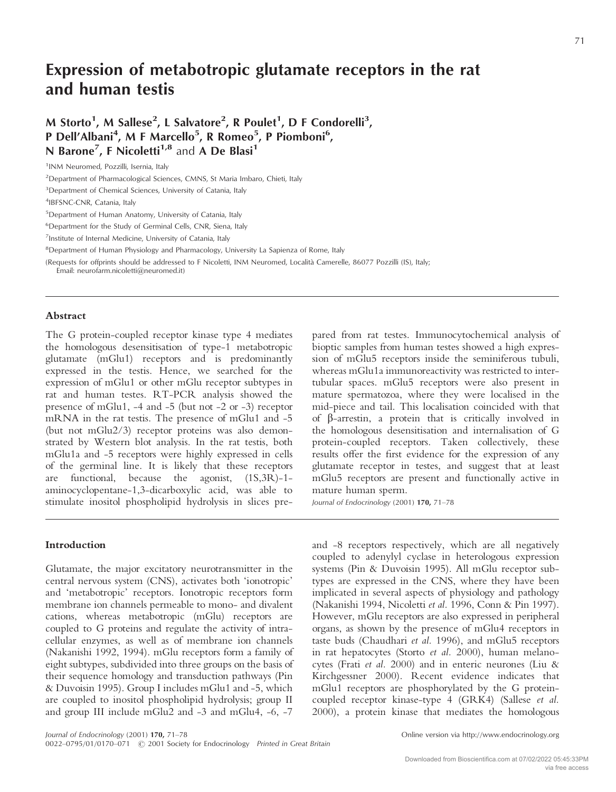### **Expression of metabotropic glutamate receptors in the rat and human testis**

M Storto<sup>1</sup>, M Sallese<sup>2</sup>, L Salvatore<sup>2</sup>, R Poulet<sup>1</sup>, D F Condorelli<sup>3</sup>, P Dell'Albani<sup>4</sup>, M F Marcello<sup>5</sup>, R Romeo<sup>5</sup>, P Piomboni<sup>6</sup>, **N Barone<sup>7</sup>, F Nicoletti<sup>1,8</sup> and A De Blasi<sup>1</sup>** 

4 IBFSNC-CNR, Catania, Italy

5 Department of Human Anatomy, University of Catania, Italy

<sup>6</sup>Department for the Study of Germinal Cells, CNR, Siena, Italy

<sup>7</sup>Institute of Internal Medicine, University of Catania, Italy

<sup>8</sup>Department of Human Physiology and Pharmacology, University La Sapienza of Rome, Italy

(Requests for offprints should be addressed to F Nicoletti, INM Neuromed, Località Camerelle, 86077 Pozzilli (IS), Italy;

Email: neurofarm.nicoletti@neuromed.it)

#### **Abstract**

The G protein-coupled receptor kinase type 4 mediates the homologous desensitisation of type-1 metabotropic glutamate (mGlu1) receptors and is predominantly expressed in the testis. Hence, we searched for the expression of mGlu1 or other mGlu receptor subtypes in rat and human testes. RT-PCR analysis showed the presence of mGlu1, -4 and -5 (but not -2 or -3) receptor mRNA in the rat testis. The presence of mGlu1 and -5 (but not mGlu2/3) receptor proteins was also demonstrated by Western blot analysis. In the rat testis, both mGlu1a and -5 receptors were highly expressed in cells of the germinal line. It is likely that these receptors are functional, because the agonist, (1S,3R)-1 aminocyclopentane-1,3-dicarboxylic acid, was able to stimulate inositol phospholipid hydrolysis in slices pre-

#### **Introduction**

Glutamate, the major excitatory neurotransmitter in the central nervous system (CNS), activates both 'ionotropic' and 'metabotropic' receptors. Ionotropic receptors form membrane ion channels permeable to mono- and divalent cations, whereas metabotropic (mGlu) receptors are coupled to G proteins and regulate the activity of intracellular enzymes, as well as of membrane ion channels (Nakanishi 1992, 1994). mGlu receptors form a family of eight subtypes, subdivided into three groups on the basis of their sequence homology and transduction pathways (Pin & Duvoisin 1995). Group I includes mGlu1 and -5, which are coupled to inositol phospholipid hydrolysis; group II and group III include mGlu2 and -3 and mGlu4, -6, -7

pared from rat testes. Immunocytochemical analysis of bioptic samples from human testes showed a high expression of mGlu5 receptors inside the seminiferous tubuli, whereas mGlu1a immunoreactivity was restricted to intertubular spaces. mGlu5 receptors were also present in mature spermatozoa, where they were localised in the mid-piece and tail. This localisation coincided with that of  $\beta$ -arrestin, a protein that is critically involved in the homologous desensitisation and internalisation of G protein-coupled receptors. Taken collectively, these results offer the first evidence for the expression of any glutamate receptor in testes, and suggest that at least mGlu5 receptors are present and functionally active in mature human sperm.

*Journal of Endocrinology* (2001) **170,** 71–78

and -8 receptors respectively, which are all negatively coupled to adenylyl cyclase in heterologous expression systems (Pin & Duvoisin 1995). All mGlu receptor subtypes are expressed in the CNS, where they have been implicated in several aspects of physiology and pathology (Nakanishi 1994, Nicoletti *et al.* 1996, Conn & Pin 1997). However, mGlu receptors are also expressed in peripheral organs, as shown by the presence of mGlu4 receptors in taste buds (Chaudhari *et al.* 1996), and mGlu5 receptors in rat hepatocytes (Storto *et al.* 2000), human melanocytes (Frati *et al.* 2000) and in enteric neurones (Liu & Kirchgessner 2000). Recent evidence indicates that mGlu1 receptors are phosphorylated by the G proteincoupled receptor kinase-type 4 (GRK4) (Sallese *et al.* 2000), a protein kinase that mediates the homologous

<sup>1</sup> INM Neuromed, Pozzilli, Isernia, Italy

<sup>&</sup>lt;sup>2</sup>Department of Pharmacological Sciences, CMNS, St Maria Imbaro, Chieti, Italy

<sup>&</sup>lt;sup>3</sup>Department of Chemical Sciences, University of Catania, Italy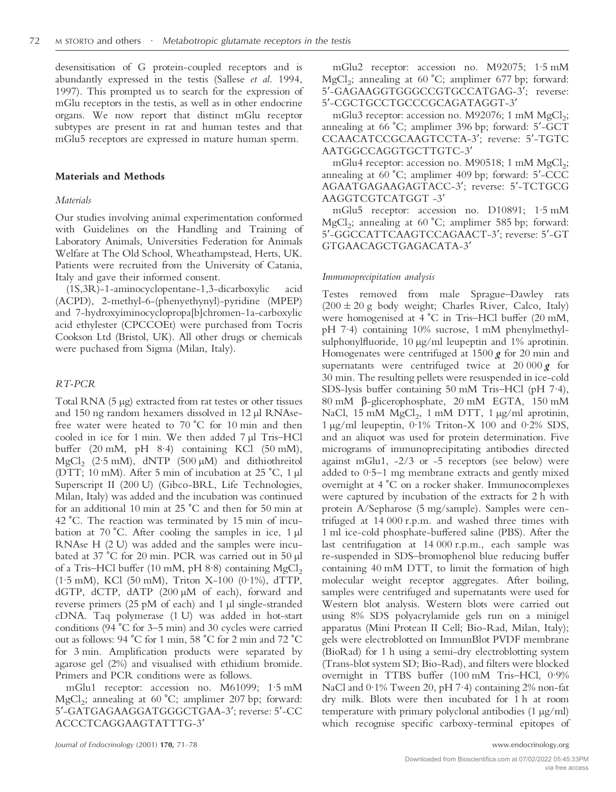desensitisation of G protein-coupled receptors and is abundantly expressed in the testis (Sallese *et al.* 1994, 1997). This prompted us to search for the expression of mGlu receptors in the testis, as well as in other endocrine organs. We now report that distinct mGlu receptor subtypes are present in rat and human testes and that mGlu5 receptors are expressed in mature human sperm.

#### **Materials and Methods**

#### *Materials*

Our studies involving animal experimentation conformed with Guidelines on the Handling and Training of Laboratory Animals, Universities Federation for Animals Welfare at The Old School, Wheathampstead, Herts, UK. Patients were recruited from the University of Catania, Italy and gave their informed consent.

(1S,3R)-1-aminocyclopentane-1,3-dicarboxylic acid (ACPD), 2-methyl-6-(phenyethynyl)-pyridine (MPEP) and 7-hydroxyiminocyclopropa[b]chromen-1a-carboxylic acid ethylester (CPCCOEt) were purchased from Tocris Cookson Ltd (Bristol, UK). All other drugs or chemicals were puchased from Sigma (Milan, Italy).

#### *RT-PCR*

Total RNA (5 µg) extracted from rat testes or other tissues and 150 ng random hexamers dissolved in 12 µl RNAsefree water were heated to  $70 °C$  for  $10 min$  and then cooled in ice for 1 min. We then added 7 µl Tris–HCl buffer (20 mM, pH 8·4) containing KCl (50 mM), MgCl<sub>2</sub> (2.5 mM), dNTP (500  $\mu$ M) and dithiothreitol (DTT; 10 mM). After 5 min of incubation at 25 °C, 1  $\mu$ l Superscript II (200 U) (Gibco-BRL, Life Technologies, Milan, Italy) was added and the incubation was continued for an additional 10 min at  $25 \degree C$  and then for 50 min at 42 °C. The reaction was terminated by 15 min of incubation at 70 °C. After cooling the samples in ice,  $1 \mu l$ RNAse H (2 U) was added and the samples were incubated at 37 °C for 20 min. PCR was carried out in 50 µl of a Tris–HCl buffer (10 mM, pH  $8.8$ ) containing MgCl<sub>2</sub> (1·5 mM), KCl (50 mM), Triton X-100 (0·1%), dTTP, dGTP, dCTP, dATP (200 µM of each), forward and reverse primers (25 pM of each) and 1 µl single-stranded cDNA. Taq polymerase (1 U) was added in hot-start conditions (94  $^{\circ}$ C for 3–5 min) and 30 cycles were carried out as follows: 94 °C for 1 min, 58 °C for 2 min and 72 °C for 3 min. Amplification products were separated by agarose gel (2%) and visualised with ethidium bromide. Primers and PCR conditions were as follows.

mGlu1 receptor: accession no. M61099; 1·5 mM  $MgCl<sub>2</sub>$ ; annealing at 60 °C; amplimer 207 bp; forward: 5-GATGAGAAGGATGGGCTGAA-3; reverse: 5-CC ACCCTCAGGAAGTATTTG-3

*Journal of Endocrinology* (2001) **170,** 71–78 www.endocrinology.org

mGlu2 receptor: accession no. M92075; 1·5 mM  $MgCl<sub>2</sub>$ ; annealing at 60 °C; amplimer 677 bp; forward: 5-GAGAAGGTGGGCCGTGCCATGAG-3; reverse: 5-CGCTGCCTGCCCGCAGATAGGT-3

mGlu3 receptor: accession no. M92076; 1 mM  $MgCl<sub>2</sub>$ ; annealing at 66 °C; amplimer 396 bp; forward: 5′-GCT CCAACATCCGCAAGTCCTA-3; reverse: 5-TGTC AATGGCCAGGTGCTTGTC-3

mGlu4 receptor: accession no. M90518; 1 mM  $MgCl<sub>2</sub>$ ; annealing at 60 °C; amplimer 409 bp; forward: 5'-CCC AGAATGAGAAGAGTACC-3; reverse: 5-TCTGCG AAGGTCGTCATGGT -3

mGlu5 receptor: accession no. D10891; 1·5 mM  $MgCl<sub>2</sub>$ ; annealing at 60 °C; amplimer 585 bp; forward: 5-GGCCATTCAAGTCCAGAACT-3; reverse: 5-GT GTGAACAGCTGAGACATA-3

#### *Immunoprecipitation analysis*

Testes removed from male Sprague–Dawley rats  $(200 \pm 20$  g body weight; Charles River, Calco, Italy) were homogenised at 4 °C in Tris–HCl buffer (20 mM, pH 7·4) containing 10% sucrose, 1 mM phenylmethylsulphonylfluoride, 10 µg/ml leupeptin and 1% aprotinin. Homogenates were centrifuged at 1500 *g* for 20 min and supernatants were centrifuged twice at 20 000 *g* for 30 min. The resulting pellets were resuspended in ice-cold SDS-lysis buffer containing 50 mM Tris–HCl (pH 7·4),  $80 \text{ mM}$   $\beta$ -glicerophosphate,  $20 \text{ mM}$  EGTA,  $150 \text{ mM}$ NaCl, 15 mM  $MgCl<sub>2</sub>$ , 1 mM DTT, 1  $\mu$ g/ml aprotinin, 1 µg/ml leupeptin, 0·1% Triton-X 100 and 0·2% SDS, and an aliquot was used for protein determination. Five micrograms of immunoprecipitating antibodies directed against mGlu1,  $-2/3$  or  $-5$  receptors (see below) were added to 0·5–1 mg membrane extracts and gently mixed overnight at 4 °C on a rocker shaker. Immunocomplexes were captured by incubation of the extracts for 2 h with protein A/Sepharose (5 mg/sample). Samples were centrifuged at 14 000 r.p.m. and washed three times with 1 ml ice-cold phosphate-buffered saline (PBS). After the last centrifugation at 14 000 r.p.m., each sample was re-suspended in SDS–bromophenol blue reducing buffer containing 40 mM DTT, to limit the formation of high molecular weight receptor aggregates. After boiling, samples were centrifuged and supernatants were used for Western blot analysis. Western blots were carried out using 8% SDS polyacrylamide gels run on a minigel apparatus (Mini Protean II Cell; Bio-Rad, Milan, Italy); gels were electroblotted on ImmunBlot PVDF membrane (BioRad) for 1 h using a semi-dry electroblotting system (Trans-blot system SD; Bio-Rad), and filters were blocked overnight in TTBS buffer (100 mM Tris–HCl, 0·9% NaCl and 0·1% Tween 20, pH 7·4) containing 2% non-fat dry milk. Blots were then incubated for 1 h at room temperature with primary polyclonal antibodies (1 µg/ml) which recognise specific carboxy-terminal epitopes of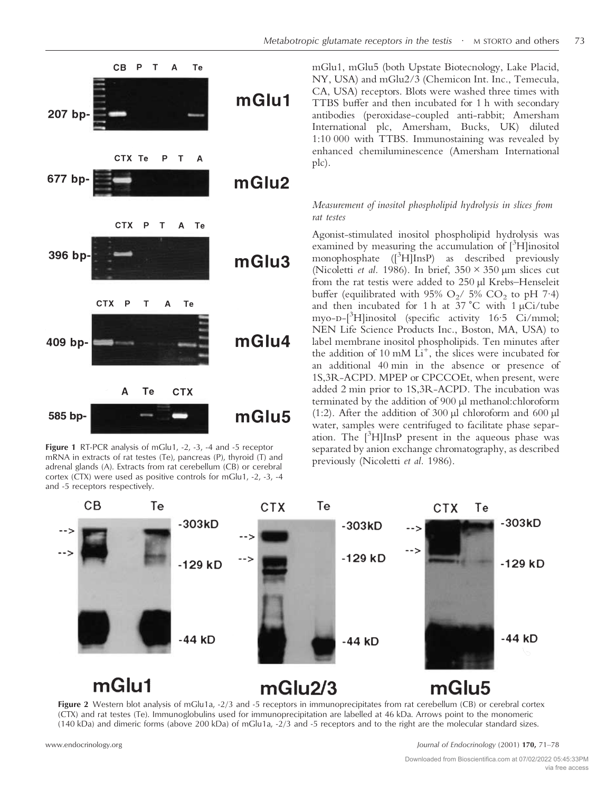

**Figure 1** RT-PCR analysis of mGlu1, -2, -3, -4 and -5 receptor mRNA in extracts of rat testes (Te), pancreas (P), thyroid (T) and adrenal glands (A). Extracts from rat cerebellum (CB) or cerebral cortex (CTX) were used as positive controls for mGlu1, -2, -3, -4 and -5 receptors respectively.

mGlu1, mGlu5 (both Upstate Biotecnology, Lake Placid, NY, USA) and mGlu2/3 (Chemicon Int. Inc., Temecula, CA, USA) receptors. Blots were washed three times with TTBS buffer and then incubated for 1 h with secondary antibodies (peroxidase-coupled anti-rabbit; Amersham International plc, Amersham, Bucks, UK) diluted 1:10 000 with TTBS. Immunostaining was revealed by enhanced chemiluminescence (Amersham International plc).

#### *Measurement of inositol phospholipid hydrolysis in slices from rat testes*

Agonist-stimulated inositol phospholipid hydrolysis was examined by measuring the accumulation of [3H]inositol monophosphate ([3 H]InsP) as described previously (Nicoletti *et al.* 1986). In brief,  $350 \times 350 \mu m$  slices cut from the rat testis were added to 250 µl Krebs–Henseleit buffer (equilibrated with 95%  $O_2/$  5%  $CO_2$  to pH 7.4) and then incubated for 1 h at 37  $^{\circ}$ C with 1 µCi/tube myo-D-[<sup>3</sup>H]inositol (specific activity 16·5 Ci/mmol; NEN Life Science Products Inc., Boston, MA, USA) to label membrane inositol phospholipids. Ten minutes after the addition of 10 mM  $\mathrm{Li}^+$ , the slices were incubated for an additional 40 min in the absence or presence of 1S,3R-ACPD. MPEP or CPCCOEt, when present, were added 2 min prior to 1S,3R-ACPD. The incubation was terminated by the addition of 900 µl methanol:chloroform (1:2). After the addition of 300 µl chloroform and 600 µl water, samples were centrifuged to facilitate phase separation. The  $[^3H]$ InsP present in the aqueous phase was separated by anion exchange chromatography, as described previously (Nicoletti *et al.* 1986).



**Figure 2** Western blot analysis of mGlu1a, -2/3 and -5 receptors in immunoprecipitates from rat cerebellum (CB) or cerebral cortex (CTX) and rat testes (Te). Immunoglobulins used for immunoprecipitation are labelled at 46 kDa. Arrows point to the monomeric (140 kDa) and dimeric forms (above 200 kDa) of mGlu1a, -2/3 and -5 receptors and to the right are the molecular standard sizes.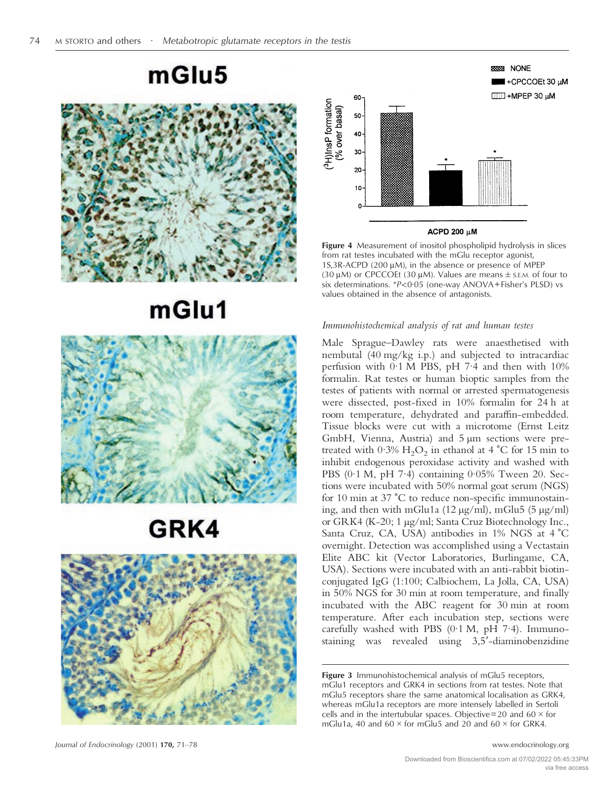### mGlu5



# mGlu1



# GRK4



*Journal of Endocrinology* (2001) **170,** 71–78 www.endocrinology.org



#### ACPD 200 µM

**Figure 4** Measurement of inositol phospholipid hydrolysis in slices from rat testes incubated with the mGlu receptor agonist,  $1S$ ,3R-ACPD (200  $\mu$ M), in the absence or presence of MPEP (30  $\mu$ M) or CPCCOEt (30  $\mu$ M). Values are means  $\pm$  s.e.m. of four to six determinations. \**P*<0·05 (one-way ANOVA+Fisher's PLSD) vs values obtained in the absence of antagonists.

#### *Immunohistochemical analysis of rat and human testes*

Male Sprague–Dawley rats were anaesthetised with nembutal (40 mg/kg i.p.) and subjected to intracardiac perfusion with 0·1 M PBS, pH 7·4 and then with 10% formalin. Rat testes or human bioptic samples from the testes of patients with normal or arrested spermatogenesis were dissected, post-fixed in 10% formalin for 24 h at room temperature, dehydrated and paraffin-embedded. Tissue blocks were cut with a microtome (Ernst Leitz GmbH, Vienna, Austria) and 5 µm sections were pretreated with  $0.3\%$  H<sub>2</sub>O<sub>2</sub> in ethanol at 4 °C for 15 min to inhibit endogenous peroxidase activity and washed with PBS (0·1 M, pH 7·4) containing 0·05% Tween 20. Sections were incubated with 50% normal goat serum (NGS) for  $10 \text{ min}$  at  $37 \text{ °C}$  to reduce non-specific immunostaining, and then with mGlu1a (12 µg/ml), mGlu5 (5 µg/ml) or GRK4 (K-20; 1 µg/ml; Santa Cruz Biotechnology Inc., Santa Cruz, CA, USA) antibodies in 1% NGS at 4 °C overnight. Detection was accomplished using a Vectastain Elite ABC kit (Vector Laboratories, Burlingame, CA, USA). Sections were incubated with an anti-rabbit biotinconjugated IgG (1:100; Calbiochem, La Jolla, CA, USA) in 50% NGS for 30 min at room temperature, and finally incubated with the ABC reagent for 30 min at room temperature. After each incubation step, sections were carefully washed with PBS  $(0.1 \text{ M}, \text{pH } 7.4)$ . Immunostaining was revealed using 3,5-diaminobenzidine

**Figure 3** Immunohistochemical analysis of mGlu5 receptors, mGlu1 receptors and GRK4 in sections from rat testes. Note that mGlu5 receptors share the same anatomical localisation as GRK4, whereas mGlu1a receptors are more intensely labelled in Sertoli cells and in the intertubular spaces. Objective=20 and 60  $\times$  for mGlu1a, 40 and 60  $\times$  for mGlu5 and 20 and 60  $\times$  for GRK4.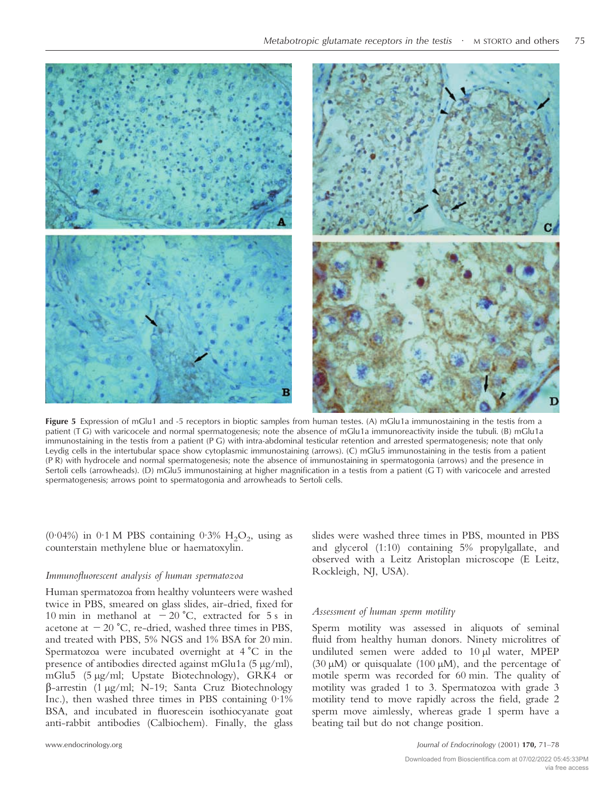

**Figure 5** Expression of mGlu1 and -5 receptors in bioptic samples from human testes. (A) mGlu1a immunostaining in the testis from a patient (T G) with varicocele and normal spermatogenesis; note the absence of mGlu1a immunoreactivity inside the tubuli. (B) mGlu1a immunostaining in the testis from a patient (P G) with intra-abdominal testicular retention and arrested spermatogenesis; note that only Leydig cells in the intertubular space show cytoplasmic immunostaining (arrows). (C) mGlu5 immunostaining in the testis from a patient (P R) with hydrocele and normal spermatogenesis; note the absence of immunostaining in spermatogonia (arrows) and the presence in Sertoli cells (arrowheads). (D) mGlu5 immunostaining at higher magnification in a testis from a patient (G T) with varicocele and arrested spermatogenesis; arrows point to spermatogonia and arrowheads to Sertoli cells.

(0.04%) in 0.1 M PBS containing 0.3%  $H_2O_2$ , using as counterstain methylene blue or haematoxylin.

#### *Immunofluorescent analysis of human spermatozoa*

Human spermatozoa from healthy volunteers were washed twice in PBS, smeared on glass slides, air-dried, fixed for 10 min in methanol at  $-20$  °C, extracted for 5 s in acetone at  $-20$  °C, re-dried, washed three times in PBS, and treated with PBS, 5% NGS and 1% BSA for 20 min. Spermatozoa were incubated overnight at 4 °C in the presence of antibodies directed against mGlu1a (5 µg/ml), mGlu5 (5 µg/ml; Upstate Biotechnology), GRK4 or -arrestin (1 µg/ml; N-19; Santa Cruz Biotechnology Inc.), then washed three times in PBS containing  $0.1\%$ BSA, and incubated in fluorescein isothiocyanate goat anti-rabbit antibodies (Calbiochem). Finally, the glass slides were washed three times in PBS, mounted in PBS and glycerol (1:10) containing 5% propylgallate, and observed with a Leitz Aristoplan microscope (E Leitz, Rockleigh, NJ, USA).

#### *Assessment of human sperm motility*

Sperm motility was assessed in aliquots of seminal fluid from healthy human donors. Ninety microlitres of undiluted semen were added to 10 µl water, MPEP (30  $\mu$ M) or quisqualate (100  $\mu$ M), and the percentage of motile sperm was recorded for 60 min. The quality of motility was graded 1 to 3. Spermatozoa with grade 3 motility tend to move rapidly across the field, grade 2 sperm move aimlessly, whereas grade 1 sperm have a beating tail but do not change position.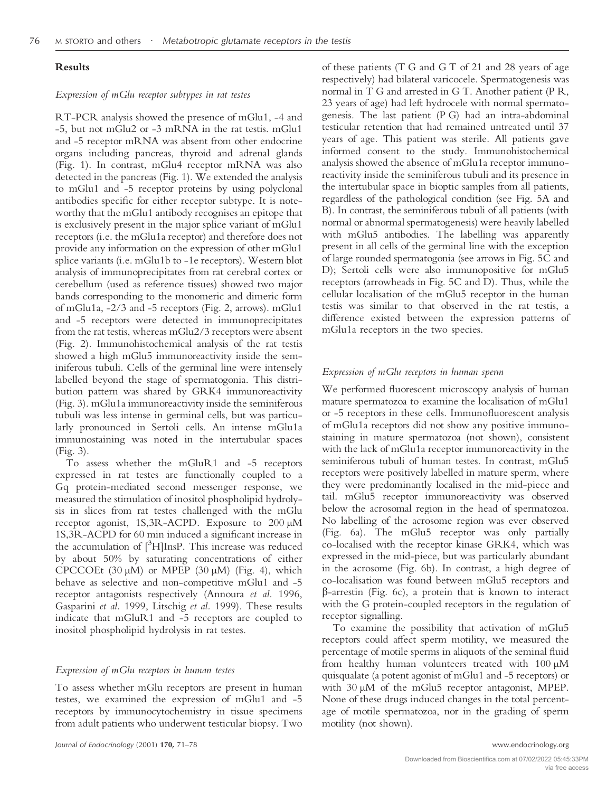#### **Results**

#### *Expression of mGlu receptor subtypes in rat testes*

RT-PCR analysis showed the presence of mGlu1, -4 and -5, but not mGlu2 or -3 mRNA in the rat testis. mGlu1 and -5 receptor mRNA was absent from other endocrine organs including pancreas, thyroid and adrenal glands (Fig. 1). In contrast, mGlu4 receptor mRNA was also detected in the pancreas (Fig. 1). We extended the analysis to mGlu1 and -5 receptor proteins by using polyclonal antibodies specific for either receptor subtype. It is noteworthy that the mGlu1 antibody recognises an epitope that is exclusively present in the major splice variant of mGlu1 receptors (i.e. the mGlu1a receptor) and therefore does not provide any information on the expression of other mGlu1 splice variants (i.e. mGlu1b to -1e receptors). Western blot analysis of immunoprecipitates from rat cerebral cortex or cerebellum (used as reference tissues) showed two major bands corresponding to the monomeric and dimeric form of mGlu1a, -2/3 and -5 receptors (Fig. 2, arrows). mGlu1 and -5 receptors were detected in immunoprecipitates from the rat testis, whereas mGlu2/3 receptors were absent (Fig. 2). Immunohistochemical analysis of the rat testis showed a high mGlu5 immunoreactivity inside the seminiferous tubuli. Cells of the germinal line were intensely labelled beyond the stage of spermatogonia. This distribution pattern was shared by GRK4 immunoreactivity (Fig. 3). mGlu1a immunoreactivity inside the seminiferous tubuli was less intense in germinal cells, but was particularly pronounced in Sertoli cells. An intense mGlu1a immunostaining was noted in the intertubular spaces (Fig. 3).

To assess whether the mGluR1 and -5 receptors expressed in rat testes are functionally coupled to a Gq protein-mediated second messenger response, we measured the stimulation of inositol phospholipid hydrolysis in slices from rat testes challenged with the mGlu receptor agonist, 1S,3R-ACPD. Exposure to 200 µM 1S,3R-ACPD for 60 min induced a significant increase in the accumulation of [<sup>3</sup>H]InsP. This increase was reduced by about 50% by saturating concentrations of either CPCCOEt  $(30 \mu M)$  or MPEP  $(30 \mu M)$  (Fig. 4), which behave as selective and non-competitive mGlu1 and -5 receptor antagonists respectively (Annoura *et al.* 1996, Gasparini *et al.* 1999, Litschig *et al.* 1999). These results indicate that mGluR1 and -5 receptors are coupled to inositol phospholipid hydrolysis in rat testes.

#### *Expression of mGlu receptors in human testes*

To assess whether mGlu receptors are present in human testes, we examined the expression of mGlu1 and -5 receptors by immunocytochemistry in tissue specimens from adult patients who underwent testicular biopsy. Two

*Journal of Endocrinology* (2001) **170,** 71–78 www.endocrinology.org

of these patients (T G and G T of 21 and 28 years of age respectively) had bilateral varicocele. Spermatogenesis was normal in T G and arrested in G T. Another patient (P R, 23 years of age) had left hydrocele with normal spermatogenesis. The last patient (P G) had an intra-abdominal testicular retention that had remained untreated until 37 years of age. This patient was sterile. All patients gave informed consent to the study. Immunohistochemical analysis showed the absence of mGlu1a receptor immunoreactivity inside the seminiferous tubuli and its presence in the intertubular space in bioptic samples from all patients, regardless of the pathological condition (see Fig. 5A and B). In contrast, the seminiferous tubuli of all patients (with normal or abnormal spermatogenesis) were heavily labelled with mGlu5 antibodies. The labelling was apparently present in all cells of the germinal line with the exception of large rounded spermatogonia (see arrows in Fig. 5C and D); Sertoli cells were also immunopositive for mGlu5 receptors (arrowheads in Fig. 5C and D). Thus, while the cellular localisation of the mGlu5 receptor in the human testis was similar to that observed in the rat testis, a difference existed between the expression patterns of mGlu1a receptors in the two species.

#### *Expression of mGlu receptors in human sperm*

We performed fluorescent microscopy analysis of human mature spermatozoa to examine the localisation of mGlu1 or -5 receptors in these cells. Immunofluorescent analysis of mGlu1a receptors did not show any positive immunostaining in mature spermatozoa (not shown), consistent with the lack of mGlu1a receptor immunoreactivity in the seminiferous tubuli of human testes. In contrast, mGlu5 receptors were positively labelled in mature sperm, where they were predominantly localised in the mid-piece and tail. mGlu5 receptor immunoreactivity was observed below the acrosomal region in the head of spermatozoa. No labelling of the acrosome region was ever observed (Fig. 6a). The mGlu5 receptor was only partially co-localised with the receptor kinase GRK4, which was expressed in the mid-piece, but was particularly abundant in the acrosome (Fig. 6b). In contrast, a high degree of co-localisation was found between mGlu5 receptors and  $\beta$ -arrestin (Fig. 6c), a protein that is known to interact with the G protein-coupled receptors in the regulation of receptor signalling.

To examine the possibility that activation of mGlu5 receptors could affect sperm motility, we measured the percentage of motile sperms in aliquots of the seminal fluid from healthy human volunteers treated with  $100 \mu M$ quisqualate (a potent agonist of mGlu1 and -5 receptors) or with 30 µM of the mGlu5 receptor antagonist, MPEP. None of these drugs induced changes in the total percentage of motile spermatozoa, nor in the grading of sperm motility (not shown).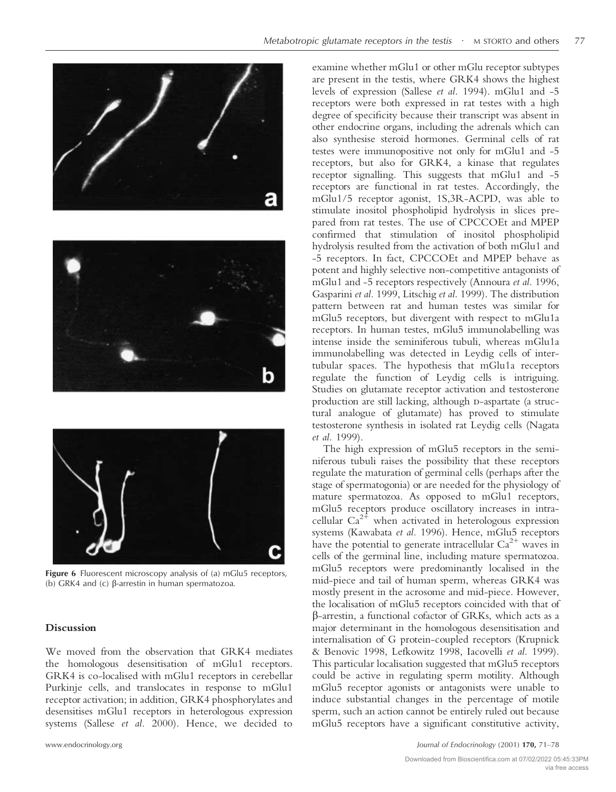





**Figure 6** Fluorescent microscopy analysis of (a) mGlu5 receptors, (b) GRK4 and (c)  $\beta$ -arrestin in human spermatozoa.

#### **Discussion**

We moved from the observation that GRK4 mediates the homologous desensitisation of mGlu1 receptors. GRK4 is co-localised with mGlu1 receptors in cerebellar Purkinje cells, and translocates in response to mGlu1 receptor activation; in addition, GRK4 phosphorylates and desensitises mGlu1 receptors in heterologous expression systems (Sallese *et al.* 2000). Hence, we decided to

examine whether mGlu1 or other mGlu receptor subtypes are present in the testis, where GRK4 shows the highest levels of expression (Sallese *et al.* 1994). mGlu1 and -5 receptors were both expressed in rat testes with a high degree of specificity because their transcript was absent in other endocrine organs, including the adrenals which can also synthesise steroid hormones. Germinal cells of rat testes were immunopositive not only for mGlu1 and -5 receptors, but also for GRK4, a kinase that regulates receptor signalling. This suggests that mGlu1 and -5 receptors are functional in rat testes. Accordingly, the mGlu1/5 receptor agonist, 1S,3R-ACPD, was able to stimulate inositol phospholipid hydrolysis in slices prepared from rat testes. The use of CPCCOEt and MPEP confirmed that stimulation of inositol phospholipid hydrolysis resulted from the activation of both mGlu1 and -5 receptors. In fact, CPCCOEt and MPEP behave as potent and highly selective non-competitive antagonists of mGlu1 and -5 receptors respectively (Annoura *et al.* 1996, Gasparini *et al.* 1999, Litschig *et al.* 1999). The distribution pattern between rat and human testes was similar for mGlu5 receptors, but divergent with respect to mGlu1a receptors. In human testes, mGlu5 immunolabelling was intense inside the seminiferous tubuli, whereas mGlu1a immunolabelling was detected in Leydig cells of intertubular spaces. The hypothesis that mGlu1a receptors regulate the function of Leydig cells is intriguing. Studies on glutamate receptor activation and testosterone production are still lacking, although D-aspartate (a structural analogue of glutamate) has proved to stimulate testosterone synthesis in isolated rat Leydig cells (Nagata *et al.* 1999).

The high expression of mGlu5 receptors in the seminiferous tubuli raises the possibility that these receptors regulate the maturation of germinal cells (perhaps after the stage of spermatogonia) or are needed for the physiology of mature spermatozoa. As opposed to mGlu1 receptors, mGlu5 receptors produce oscillatory increases in intracellular  $Ca^{2+}$  when activated in heterologous expression systems (Kawabata *et al.* 1996). Hence, mGlu5 receptors have the potential to generate intracellular  $Ca^{2+}$  waves in cells of the germinal line, including mature spermatozoa. mGlu5 receptors were predominantly localised in the mid-piece and tail of human sperm, whereas GRK4 was mostly present in the acrosome and mid-piece. However, the localisation of mGlu5 receptors coincided with that of -arrestin, a functional cofactor of GRKs, which acts as a major determinant in the homologous desensitisation and internalisation of G protein-coupled receptors (Krupnick & Benovic 1998, Lefkowitz 1998, Iacovelli *et al.* 1999). This particular localisation suggested that mGlu5 receptors could be active in regulating sperm motility. Although mGlu5 receptor agonists or antagonists were unable to induce substantial changes in the percentage of motile sperm, such an action cannot be entirely ruled out because mGlu5 receptors have a significant constitutive activity,